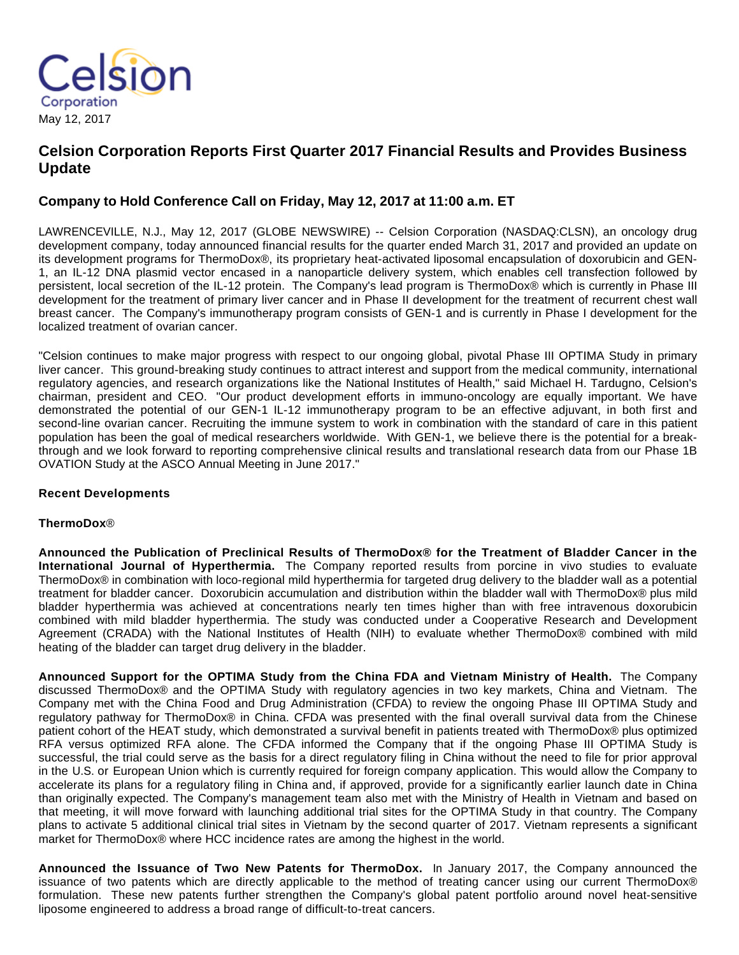

# **Celsion Corporation Reports First Quarter 2017 Financial Results and Provides Business Update**

## **Company to Hold Conference Call on Friday, May 12, 2017 at 11:00 a.m. ET**

LAWRENCEVILLE, N.J., May 12, 2017 (GLOBE NEWSWIRE) -- Celsion Corporation (NASDAQ:CLSN), an oncology drug development company, today announced financial results for the quarter ended March 31, 2017 and provided an update on its development programs for ThermoDox®, its proprietary heat-activated liposomal encapsulation of doxorubicin and GEN-1, an IL-12 DNA plasmid vector encased in a nanoparticle delivery system, which enables cell transfection followed by persistent, local secretion of the IL-12 protein. The Company's lead program is ThermoDox® which is currently in Phase III development for the treatment of primary liver cancer and in Phase II development for the treatment of recurrent chest wall breast cancer. The Company's immunotherapy program consists of GEN-1 and is currently in Phase I development for the localized treatment of ovarian cancer.

"Celsion continues to make major progress with respect to our ongoing global, pivotal Phase III OPTIMA Study in primary liver cancer. This ground-breaking study continues to attract interest and support from the medical community, international regulatory agencies, and research organizations like the National Institutes of Health," said Michael H. Tardugno, Celsion's chairman, president and CEO. "Our product development efforts in immuno-oncology are equally important. We have demonstrated the potential of our GEN-1 IL-12 immunotherapy program to be an effective adjuvant, in both first and second-line ovarian cancer. Recruiting the immune system to work in combination with the standard of care in this patient population has been the goal of medical researchers worldwide. With GEN-1, we believe there is the potential for a breakthrough and we look forward to reporting comprehensive clinical results and translational research data from our Phase 1B OVATION Study at the ASCO Annual Meeting in June 2017."

## **Recent Developments**

## **ThermoDox**®

**Announced the Publication of Preclinical Results of ThermoDox® for the Treatment of Bladder Cancer in the International Journal of Hyperthermia.** The Company reported results from porcine in vivo studies to evaluate ThermoDox® in combination with loco-regional mild hyperthermia for targeted drug delivery to the bladder wall as a potential treatment for bladder cancer. Doxorubicin accumulation and distribution within the bladder wall with ThermoDox® plus mild bladder hyperthermia was achieved at concentrations nearly ten times higher than with free intravenous doxorubicin combined with mild bladder hyperthermia. The study was conducted under a Cooperative Research and Development Agreement (CRADA) with the National Institutes of Health (NIH) to evaluate whether ThermoDox® combined with mild heating of the bladder can target drug delivery in the bladder.

**Announced Support for the OPTIMA Study from the China FDA and Vietnam Ministry of Health.** The Company discussed ThermoDox® and the OPTIMA Study with regulatory agencies in two key markets, China and Vietnam. The Company met with the China Food and Drug Administration (CFDA) to review the ongoing Phase III OPTIMA Study and regulatory pathway for ThermoDox® in China. CFDA was presented with the final overall survival data from the Chinese patient cohort of the HEAT study, which demonstrated a survival benefit in patients treated with ThermoDox® plus optimized RFA versus optimized RFA alone. The CFDA informed the Company that if the ongoing Phase III OPTIMA Study is successful, the trial could serve as the basis for a direct regulatory filing in China without the need to file for prior approval in the U.S. or European Union which is currently required for foreign company application. This would allow the Company to accelerate its plans for a regulatory filing in China and, if approved, provide for a significantly earlier launch date in China than originally expected. The Company's management team also met with the Ministry of Health in Vietnam and based on that meeting, it will move forward with launching additional trial sites for the OPTIMA Study in that country. The Company plans to activate 5 additional clinical trial sites in Vietnam by the second quarter of 2017. Vietnam represents a significant market for ThermoDox® where HCC incidence rates are among the highest in the world.

**Announced the Issuance of Two New Patents for ThermoDox.** In January 2017, the Company announced the issuance of two patents which are directly applicable to the method of treating cancer using our current ThermoDox® formulation. These new patents further strengthen the Company's global patent portfolio around novel heat-sensitive liposome engineered to address a broad range of difficult-to-treat cancers.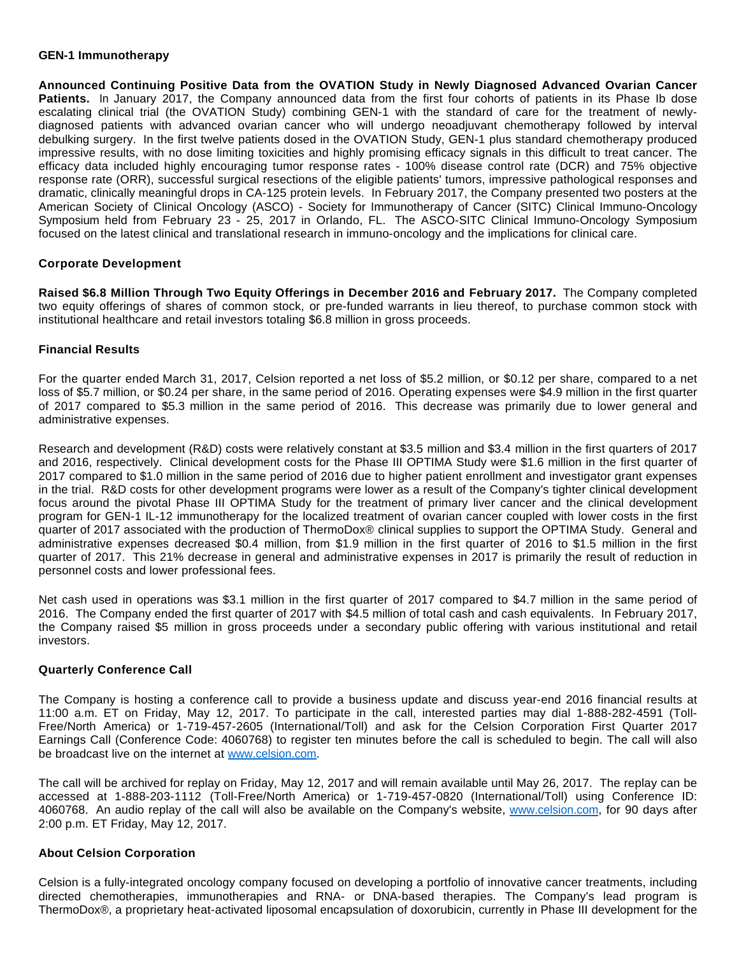#### **GEN-1 Immunotherapy**

**Announced Continuing Positive Data from the OVATION Study in Newly Diagnosed Advanced Ovarian Cancer Patients.** In January 2017, the Company announced data from the first four cohorts of patients in its Phase Ib dose escalating clinical trial (the OVATION Study) combining GEN-1 with the standard of care for the treatment of newlydiagnosed patients with advanced ovarian cancer who will undergo neoadjuvant chemotherapy followed by interval debulking surgery. In the first twelve patients dosed in the OVATION Study, GEN-1 plus standard chemotherapy produced impressive results, with no dose limiting toxicities and highly promising efficacy signals in this difficult to treat cancer. The efficacy data included highly encouraging tumor response rates - 100% disease control rate (DCR) and 75% objective response rate (ORR), successful surgical resections of the eligible patients' tumors, impressive pathological responses and dramatic, clinically meaningful drops in CA-125 protein levels. In February 2017, the Company presented two posters at the American Society of Clinical Oncology (ASCO) - Society for Immunotherapy of Cancer (SITC) Clinical Immuno-Oncology Symposium held from February 23 - 25, 2017 in Orlando, FL. The ASCO-SITC Clinical Immuno-Oncology Symposium focused on the latest clinical and translational research in immuno-oncology and the implications for clinical care.

## **Corporate Development**

**Raised \$6.8 Million Through Two Equity Offerings in December 2016 and February 2017.** The Company completed two equity offerings of shares of common stock, or pre-funded warrants in lieu thereof, to purchase common stock with institutional healthcare and retail investors totaling \$6.8 million in gross proceeds.

#### **Financial Results**

For the quarter ended March 31, 2017, Celsion reported a net loss of \$5.2 million, or \$0.12 per share, compared to a net loss of \$5.7 million, or \$0.24 per share, in the same period of 2016. Operating expenses were \$4.9 million in the first quarter of 2017 compared to \$5.3 million in the same period of 2016. This decrease was primarily due to lower general and administrative expenses.

Research and development (R&D) costs were relatively constant at \$3.5 million and \$3.4 million in the first quarters of 2017 and 2016, respectively. Clinical development costs for the Phase III OPTIMA Study were \$1.6 million in the first quarter of 2017 compared to \$1.0 million in the same period of 2016 due to higher patient enrollment and investigator grant expenses in the trial. R&D costs for other development programs were lower as a result of the Company's tighter clinical development focus around the pivotal Phase III OPTIMA Study for the treatment of primary liver cancer and the clinical development program for GEN-1 IL-12 immunotherapy for the localized treatment of ovarian cancer coupled with lower costs in the first quarter of 2017 associated with the production of ThermoDox® clinical supplies to support the OPTIMA Study. General and administrative expenses decreased \$0.4 million, from \$1.9 million in the first quarter of 2016 to \$1.5 million in the first quarter of 2017. This 21% decrease in general and administrative expenses in 2017 is primarily the result of reduction in personnel costs and lower professional fees.

Net cash used in operations was \$3.1 million in the first quarter of 2017 compared to \$4.7 million in the same period of 2016. The Company ended the first quarter of 2017 with \$4.5 million of total cash and cash equivalents. In February 2017, the Company raised \$5 million in gross proceeds under a secondary public offering with various institutional and retail investors.

## **Quarterly Conference Call**

The Company is hosting a conference call to provide a business update and discuss year-end 2016 financial results at 11:00 a.m. ET on Friday, May 12, 2017. To participate in the call, interested parties may dial 1-888-282-4591 (Toll-Free/North America) or 1-719-457-2605 (International/Toll) and ask for the Celsion Corporation First Quarter 2017 Earnings Call (Conference Code: 4060768) to register ten minutes before the call is scheduled to begin. The call will also be broadcast live on the internet at [www.celsion.com](https://www.globenewswire.com/Tracker?data=-9_qkTzBH0WmdozliRnLinRwD_vnJVjc6sCzUeu8kTPxOuIThX9uxvlNR5GTHnX3XYcQtyO2TbNH3KlXozKWBg==).

The call will be archived for replay on Friday, May 12, 2017 and will remain available until May 26, 2017. The replay can be accessed at 1-888-203-1112 (Toll-Free/North America) or 1-719-457-0820 (International/Toll) using Conference ID: 4060768. An audio replay of the call will also be available on the Company's website, [www.celsion.com](https://www.globenewswire.com/Tracker?data=-9_qkTzBH0WmdozliRnLiv_fl2JI6A8gFSkVrcIAxvspXaLUewkrZ7_NoXPf7mxv7pnx6CfC8IvYk7Ub6z14gg==), for 90 days after 2:00 p.m. ET Friday, May 12, 2017.

#### **About Celsion Corporation**

Celsion is a fully-integrated oncology company focused on developing a portfolio of innovative cancer treatments, including directed chemotherapies, immunotherapies and RNA- or DNA-based therapies. The Company's lead program is ThermoDox®, a proprietary heat-activated liposomal encapsulation of doxorubicin, currently in Phase III development for the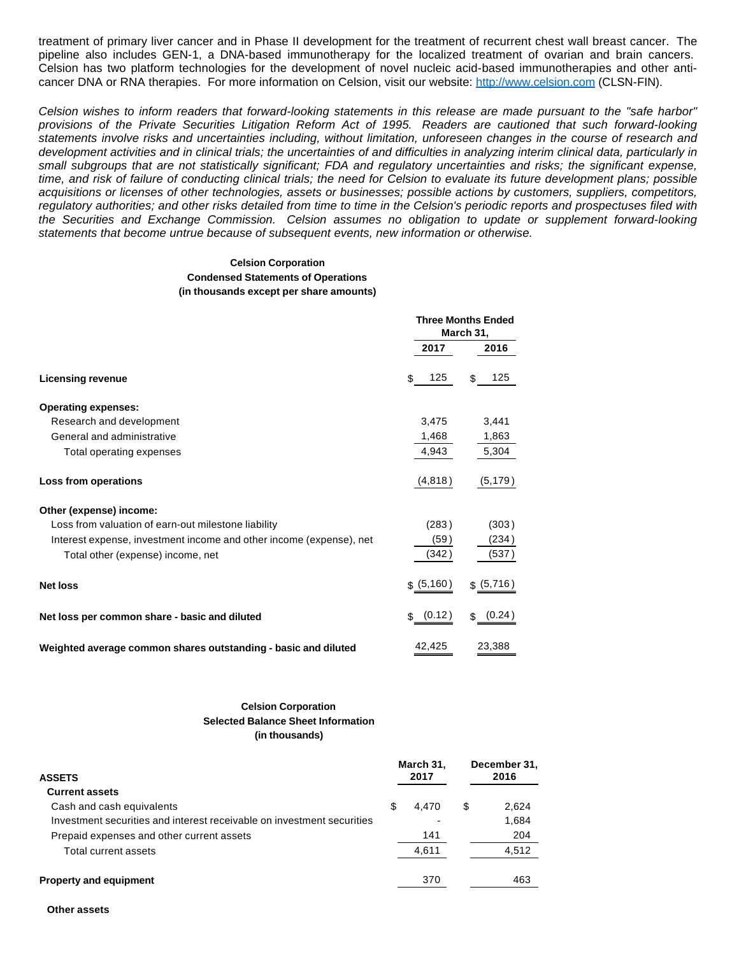treatment of primary liver cancer and in Phase II development for the treatment of recurrent chest wall breast cancer. The pipeline also includes GEN-1, a DNA-based immunotherapy for the localized treatment of ovarian and brain cancers. Celsion has two platform technologies for the development of novel nucleic acid-based immunotherapies and other anticancer DNA or RNA therapies. For more information on Celsion, visit our website: [http://www.celsion.com](https://www.globenewswire.com/Tracker?data=b1PPSkcAJDwiap8u4k9iZlCTM9IgX9RvBsRPV1pJOQh2JUhCxcVx4Ynf5e2kMLIOJDKB-cVr_lRER245aE4SdLwEY5qeNMizKTElCMcZl70=) (CLSN-FIN).

Celsion wishes to inform readers that forward-looking statements in this release are made pursuant to the "safe harbor" provisions of the Private Securities Litigation Reform Act of 1995. Readers are cautioned that such forward-looking statements involve risks and uncertainties including, without limitation, unforeseen changes in the course of research and development activities and in clinical trials; the uncertainties of and difficulties in analyzing interim clinical data, particularly in small subgroups that are not statistically significant; FDA and regulatory uncertainties and risks; the significant expense, time, and risk of failure of conducting clinical trials; the need for Celsion to evaluate its future development plans; possible acquisitions or licenses of other technologies, assets or businesses; possible actions by customers, suppliers, competitors, regulatory authorities; and other risks detailed from time to time in the Celsion's periodic reports and prospectuses filed with the Securities and Exchange Commission. Celsion assumes no obligation to update or supplement forward-looking statements that become untrue because of subsequent events, new information or otherwise.

#### **Celsion Corporation Condensed Statements of Operations (in thousands except per share amounts)**

|                                                                     | <b>Three Months Ended</b><br>March 31, |            |  |
|---------------------------------------------------------------------|----------------------------------------|------------|--|
|                                                                     | 2017                                   | 2016       |  |
| <b>Licensing revenue</b>                                            | 125<br>\$                              | 125<br>\$  |  |
| <b>Operating expenses:</b>                                          |                                        |            |  |
| Research and development                                            | 3,475                                  | 3,441      |  |
| General and administrative                                          | 1,468                                  | 1,863      |  |
| Total operating expenses                                            | 4,943                                  | 5,304      |  |
| Loss from operations                                                | (4,818)                                | (5, 179)   |  |
| Other (expense) income:                                             |                                        |            |  |
| Loss from valuation of earn-out milestone liability                 | (283)                                  | (303)      |  |
| Interest expense, investment income and other income (expense), net | (59)                                   | (234)      |  |
| Total other (expense) income, net                                   | (342)                                  | (537)      |  |
| <b>Net loss</b>                                                     | \$ (5, 160)                            | \$ (5,716) |  |
| Net loss per common share - basic and diluted                       | \$ (0.12)                              | \$ (0.24)  |  |
| Weighted average common shares outstanding - basic and diluted      | 42,425                                 | 23,388     |  |

#### **Celsion Corporation Selected Balance Sheet Information (in thousands)**

| <b>ASSETS</b>                                                          |   | March 31,<br>2017 |   | December 31,<br>2016 |
|------------------------------------------------------------------------|---|-------------------|---|----------------------|
| <b>Current assets</b>                                                  |   |                   |   |                      |
| Cash and cash equivalents                                              | S | 4.470             | S | 2,624                |
| Investment securities and interest receivable on investment securities |   |                   |   | 1,684                |
| Prepaid expenses and other current assets                              |   | 141               |   | 204                  |
| Total current assets                                                   |   | 4.611             |   | 4.512                |
| <b>Property and equipment</b>                                          |   | 370               |   | 463                  |

**Other assets**